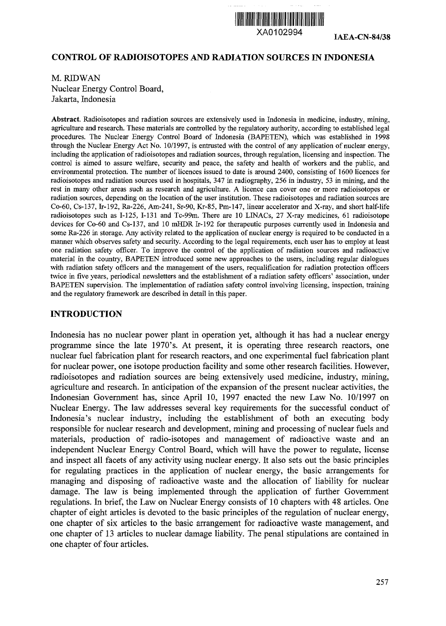

XA0102994 **IAEA\_CN-84/38**

#### **CONTROL OF RADIOISOTOPES AND RADIATION SOURCES IN INDONESIA**

M. RIDWAN Nuclear Energy Control Board, Jakarta, Indonesia

**Abstract.** Radioisotopes and radiation sources are extensively used in Indonesia in medicine, industry, mining, agriculture and research. These materials are controlled by the regulatory authority, according to established legal procedures. The Nuclear Energy Control Board of Indonesia (BAPETEN), which was established in 1998 through the Nuclear Energy Act No. 10/1997, is entrusted with the control of any application of nuclear energy, including the application of radioisotopes and radiation sources, through regulation, licensing and inspection. The control is aimed to assure welfare, security and peace, the safety and health of workers and the public, and environmental protection. The number of licences issued to date is around 2400, consisting of 1600 licences for radioisotopes and radiation sources used in hospitals, 347 in radiography, 256 in industry, 53 in mining, and the rest in many other areas such as research and agriculture. A licence can cover one or more radioisotopes or radiation sources, depending on the location of the user institution. These radioisotopes and radiation sources are Co-60, Cs-137, Ir-192, Ra-226, Am-241, Sr-90, Kr-85, Pm-147, linear accelerator and X-ray, and short half-life radioisotopes such as 1-125, 1-131 and Tc-99m. There are 10 LINACs, 27 X-ray medicines, 61 radioisotope devices for Co-60 and Cs-137, and 10 mHDR Ir-192 for therapeutic purposes currently used in Indonesia and some Ra-226 in storage. Any activity related to the application of nuclear energy is required to be conducted in a manner which observes safety and security. According to the legal requirements, each user has to employ at least one radiation safety officer. To improve the control of the application of radiation sources and radioactive material in the country, BAPETEN introduced some new approaches to the users, including regular dialogues with radiation safety officers and the management of the users, requalification for radiation protection officers twice in five years, periodical newsletters and the establishment of a radiation safety officers' association, under BAPETEN supervision. The implementation of radiation safety control involving licensing, inspection, training and the regulatory framework are described in detail in this paper.

#### **INTRODUCTION**

Indonesia has no nuclear power plant in operation yet, although it has had a nuclear energy programme since the late 1970's. At present, it is operating three research reactors, one nuclear fuel fabrication plant for research reactors, and one experimental fuel fabrication plant for nuclear power, one isotope production facility and some other research facilities. However, radioisotopes and radiation sources are being extensively used medicine, industry, mining, agriculture and research. In anticipation of the expansion of the present nuclear activities, the Indonesian Government has, since April 10, 1997 enacted the new Law No. 10/1997 on Nuclear Energy. The law addresses several key requirements for the successful conduct of Indonesia's nuclear industry, including the establishment of both an executing body responsible for nuclear research and development, mining and processing of nuclear fuels and materials, production of radio-isotopes and management of radioactive waste and an independent Nuclear Energy Control Board, which will have the power to regulate, license and inspect all facets of any activity using nuclear energy. It also sets out the basic principles for regulating practices in the application of nuclear energy, the basic arrangements for managing and disposing of radioactive waste and the allocation of liability for nuclear damage. The law is being implemented through the application of further Government regulations. In brief, the Law on Nuclear Energy consists of 10 chapters with 48 articles. One chapter of eight articles is devoted to the basic principles of the regulation of nuclear energy, one chapter of six articles to the basic arrangement for radioactive waste management, and one chapter of 13 articles to nuclear damage liability. The penal stipulations are contained in one chapter of four articles.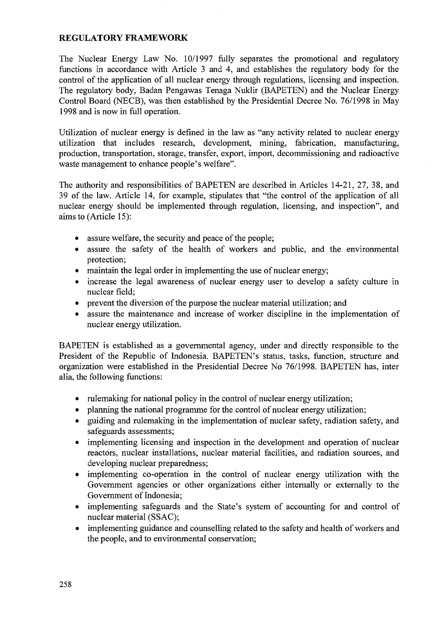#### **REGULATORY FRAMEWORK**

The Nuclear Energy Law No. 10/1997 fully separates the promotional and regulatory functions in accordance with Article 3 and 4, and establishes the regulatory body for the control of the application of all nuclear energy through regulations, licensing and inspection. The regulatory body, Badan Pengawas Tenaga Nuklir (BAPETEN) and the Nuclear Energy Control Board (NECB), was then established by the Presidential Decree No. 76/1998 in May 1998 and is now in full operation.

Utilization of nuclear energy is defined in the law as "any activity related to nuclear energy utilization that includes research, development, mining, fabrication, manufacturing, production, transportation, storage, transfer, export, import, decommissioning and radioactive waste management to enhance people's welfare".

The authority and responsibilities of BAPETEN are described in Articles 14-21, 27, 38, and 39 of the law. Article 14, for example, stipulates that "the control of the application of all nuclear energy should be implemented through regulation, licensing, and inspection", and aims to (Article 15):

- assure welfare, the security and peace of the people;
- assure the safety of the health of workers and public, and the environmental protection;
- maintain the legal order in implementing the use of nuclear energy;
- increase the legal awareness of nuclear energy user to develop a safety culture in nuclear field;
- prevent the diversion of the purpose the nuclear material utilization; and
- assure the maintenance and increase of worker discipline in the implementation of nuclear energy utilization.

BAPETEN is established as a governmental agency, under and directly responsible to the President of the Republic of Indonesia. BAPETEN's status, tasks, function, structure and organization were established in the Presidential Decree No 76/1998. BAPETEN has, inter alia, the following functions:

- rulemaking for national policy in the control of nuclear energy utilization;
- planning the national programme for the control of nuclear energy utilization;
- guiding and rulemaking in the implementation of nuclear safety, radiation safety, and safeguards assessments;
- implementing licensing and inspection in the development and operation of nuclear reactors, nuclear installations, nuclear material facilities, and radiation sources, and developing nuclear preparedness;
- implementing co-operation in the control of nuclear energy utilization with the Government agencies or other organizations either internally or externally to the Government of Indonesia;
- implementing safeguards and the State's system of accounting for and control of nuclear material (SSAC);
- implementing guidance and counselling related to the safety and health of workers and the people, and to environmental conservation;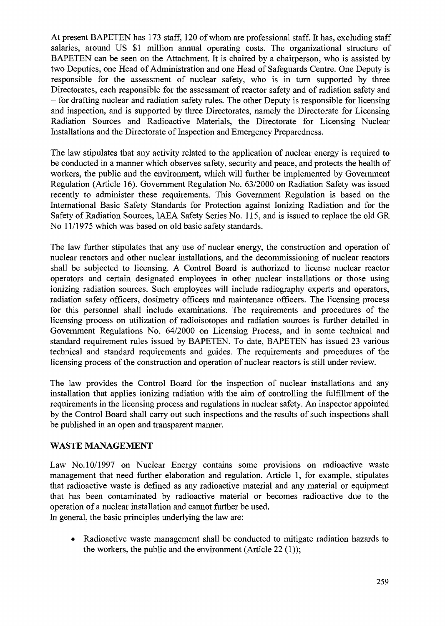At present BAPETEN has 173 staff, 120 of whom are professional staff. It has, excluding staff salaries, around US \$1 million annual operating costs. The organizational structure of BAPETEN can be seen on the Attachment. It is chaired by a chairperson, who is assisted by two Deputies, one Head of Administration and one Head of Safeguards Centre. One Deputy is responsible for the assessment of nuclear safety, who is in turn supported by three Directorates, each responsible for the assessment of reactor safety and of radiation safety and - for drafting nuclear and radiation safety rules. The other Deputy is responsible for licensing and inspection, and is supported by three Directorates, namely the Directorate for Licensing Radiation Sources and Radioactive Materials, the Directorate for Licensing Nuclear Installations and the Directorate of Inspection and Emergency Preparedness.

The law stipulates that any activity related to the application of nuclear energy is required to be conducted in a manner which observes safety, security and peace, and protects the health of workers, the public and the environment, which will further be implemented by Government Regulation (Article 16). Government Regulation No. 63/2000 on Radiation Safety was issued recently to administer these requirements. This Government Regulation is based on the International Basic Safety Standards for Protection against Ionizing Radiation and for the Safety of Radiation Sources, IAEA Safety Series No. 115, and is issued to replace the old GR No 11/1975 which was based on old basic safety standards.

The law further stipulates that any use of nuclear energy, the construction and operation of nuclear reactors and other nuclear installations, and the decommissioning of nuclear reactors shall be subjected to licensing. A Control Board is authorized to license nuclear reactor operators and certain designated employees in other nuclear installations or those using ionizing radiation sources. Such employees will include radiography experts and operators, radiation safety officers, dosimetry officers and maintenance officers. The licensing process for this personnel shall include examinations. The requirements and procedures of the licensing process on utilization of radioisotopes and radiation sources is further detailed in Government Regulations No. 64/2000 on Licensing Process, and in some technical and standard requirement rules issued by BAPETEN. To date, BAPETEN has issued 23 various technical and standard requirements and guides. The requirements and procedures of the licensing process of the construction and operation of nuclear reactors is still under review.

The law provides the Control Board for the inspection of nuclear installations and any installation that applies ionizing radiation with the aim of controlling the fulfillment of the requirements in the licensing process and regulations in nuclear safety. An inspector appointed by the Control Board shall carry out such inspections and the results of such inspections shall be published in an open and transparent manner.

# WASTE MANAGEMENT

Law No. 10/1997 on Nuclear Energy contains some provisions on radioactive waste management that need further elaboration and regulation. Article 1, for example, stipulates that radioactive waste is defined as any radioactive material and any material or equipment that has been contaminated by radioactive material or becomes radioactive due to the operation of a nuclear installation and cannot further be used. In general, the basic principles underlying the law are:

• Radioactive waste management shall be conducted to mitigate radiation hazards to the workers, the public and the environment (Article 22 (1));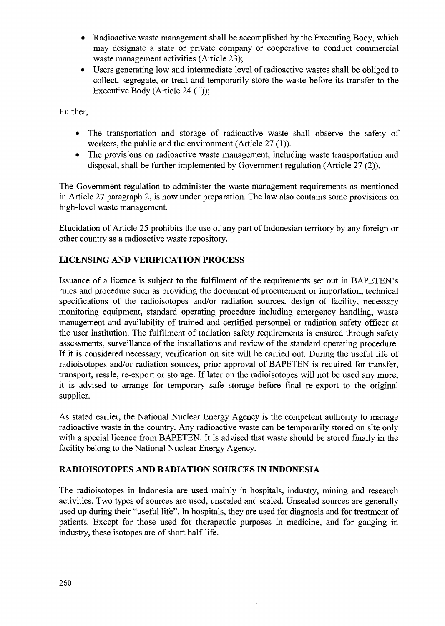- Radioactive waste management shall be accomplished by the Executing Body, which may designate a state or private company or cooperative to conduct commercial waste management activities (Article 23);
- Users generating low and intermediate level of radioactive wastes shall be obliged to collect, segregate, or treat and temporarily store the waste before its transfer to the Executive Body (Article 24 (1));

Further,

- The transportation and storage of radioactive waste shall observe the safety of workers, the public and the environment (Article 27 (1)).
- The provisions on radioactive waste management, including waste transportation and disposal, shall be further implemented by Government regulation (Article 27 (2)).

The Government regulation to administer the waste management requirements as mentioned in Article 27 paragraph 2, is now under preparation. The law also contains some provisions on high-level waste management.

Elucidation of Article 25 prohibits the use of any part of Indonesian territory by any foreign or other country as a radioactive waste repository.

# **LICENSING AND VERIFICATION PROCESS**

Issuance of a licence is subject to the fulfilment of the requirements set out in BAPETEN's rules and procedure such as providing the document of procurement or importation, technical specifications of the radioisotopes and/or radiation sources, design of facility, necessary monitoring equipment, standard operating procedure including emergency handling, waste management and availability of trained and certified personnel or radiation safety officer at the user institution. The fulfilment of radiation safety requirements is ensured through safety assessments, surveillance of the installations and review of the standard operating procedure. If it is considered necessary, verification on site will be carried out. During the useful life of radioisotopes and/or radiation sources, prior approval of BAPETEN is required for transfer, transport, resale, re-export or storage. If later on the radioisotopes will not be used any more, it is advised to arrange for temporary safe storage before final re-export to the original supplier.

As stated earlier, the National Nuclear Energy Agency is the competent authority to manage radioactive waste in the country. Any radioactive waste can be temporarily stored on site only with a special licence from BAPETEN. It is advised that waste should be stored finally in the facility belong to the National Nuclear Energy Agency.

# **RADIOISOTOPES AND RADIATION SOURCES IN INDONESIA**

The radioisotopes in Indonesia are used mainly in hospitals, industry, mining and research activities. Two types of sources are used, unsealed and sealed. Unsealed sources are generally used up during their "useful life". In hospitals, they are used for diagnosis and for treatment of patients. Except for those used for therapeutic purposes in medicine, and for gauging in industry, these isotopes are of short half-life.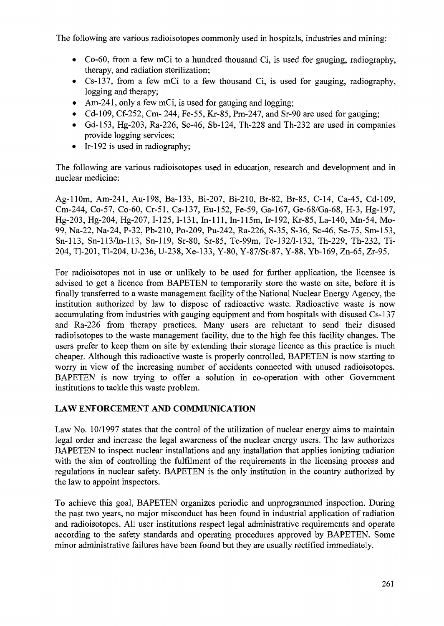The following are various radioisotopes commonly used in hospitals, industries and mining:

- Co-60, from a few mCi to a hundred thousand Ci, is used for gauging, radiography, therapy, and radiation sterilization;
- Cs-137, from a few mCi to a few thousand Ci, is used for gauging, radiography, logging and therapy;
- Am-241, only a few mCi, is used for gauging and logging;
- Cd-109, Cf-252, Cm- 244, Fe-55, Kr-85, Pm-247, and Sr-90 are used for gauging;
- Gd-153, Hg-203, Ra-226, Sc-46, Sb-124, Th-228 and Th-232 are used in companies provide logging services;
- Ir-192 is used in radiography;

The following are various radioisotopes used in education, research and development and in nuclear medicine:

Ag-llOm, Am-241, Au-198, Ba-133, Bi-207, Bi-210, Br-82, Br-85, C-14, Ca-45, Cd-109, Cm-244, Co-57, Co-60, Cr-51, Cs-137, Eu-152, Fe-59, Ga-167, Ge-68/Ga-68, H-3, Hg-197, Hg-203, Hg-204, Hg-207,1-125,1-131, In-Ill, In-115m, Ir-192, Kr-85, La-140, Mn-54, Mo-99, Na-22, Na-24, P-32, Pb-210, Po-209, Pu-242, Ra-226, S-35, S-36, Sc-46, Se-75, Sm-153, Sn-113, Sn-113/In-113, Sn-119, Sr-80, Sr-85, Tc-99m, Te-132/I-132, Th-229, Th-232, Ti-204, Tl-201, Tl-204, U-236, U-238, Xe-133, Y-80, Y-87/Sr-87, Y-88, Yb-169, Zn-65, Zr-95.

For radioisotopes not in use or unlikely to be used for further application, the licensee is advised to get a licence from BAPETEN to temporarily store the waste on site, before it is finally transferred to a waste management facility of the National Nuclear Energy Agency, the institution authorized by law to dispose of radioactive waste. Radioactive waste is now accumulating from industries with gauging equipment and from hospitals with disused Cs-137 and Ra-226 from therapy practices. Many users are reluctant to send their disused radioisotopes to the waste management facility, due to the high fee this facility changes. The users prefer to keep them on site by extending their storage licence as this practice is much cheaper. Although this radioactive waste is properly controlled, BAPETEN is now starting to worry in view of the increasing number of accidents connected with unused radioisotopes. BAPETEN is now trying to offer a solution in co-operation with other Government institutions to tackle this waste problem.

# **LAW ENFORCEMENT AND COMMUNICATION**

Law No. 10/1997 states that the control of the utilization of nuclear energy aims to maintain legal order and increase the legal awareness of the nuclear energy users. The law authorizes BAPETEN to inspect nuclear installations and any installation that applies ionizing radiation with the aim of controlling the fulfilment of the requirements in the licensing process and regulations in nuclear safety. BAPETEN is the only institution in the country authorized by the law to appoint inspectors.

To achieve this goal, BAPETEN organizes periodic and unprogrammed inspection. During the past two years, no major misconduct has been found in industrial application of radiation and radioisotopes. All user institutions respect legal administrative requirements and operate according to the safety standards and operating procedures approved by BAPETEN. Some minor administrative failures have been found but they are usually rectified immediately.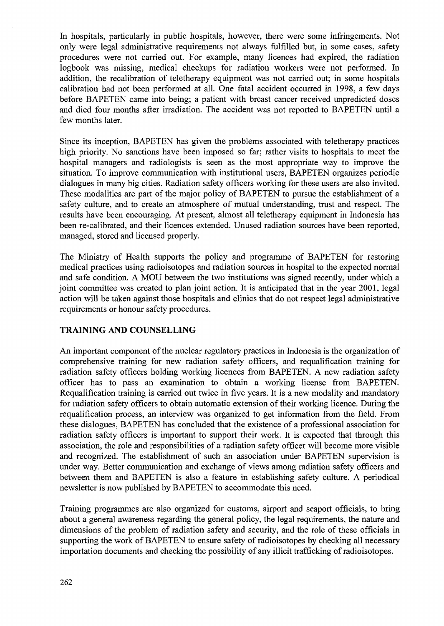In hospitals, particularly in public hospitals, however, there were some infringements. Not only were legal administrative requirements not always fulfilled but, in some cases, safety procedures were not carried out. For example, many licences had expired, the radiation logbook was missing, medical checkups for radiation workers were not performed. In addition, the recalibration of teletherapy equipment was not carried out; in some hospitals calibration had not been performed at all. One fatal accident occurred in 1998, a few days before BAPETEN came into being; a patient with breast cancer received unpredicted doses and died four months after irradiation. The accident was not reported to BAPETEN until a few months later.

Since its inception, BAPETEN has given the problems associated with teletherapy practices high priority. No sanctions have been imposed so far; rather visits to hospitals to meet the hospital managers and radiologists is seen as the most appropriate way to improve the situation. To improve communication with institutional users, BAPETEN organizes periodic dialogues in many big cities. Radiation safety officers working for these users are also invited. These modalities are part of the major policy of BAPETEN to pursue the establishment of a safety culture, and to create an atmosphere of mutual understanding, trust and respect. The results have been encouraging. At present, almost all teletherapy equipment in Indonesia has been re-calibrated, and their licences extended. Unused radiation sources have been reported, managed, stored and licensed properly.

The Ministry of Health supports the policy and programme of BAPETEN for restoring medical practices using radioisotopes and radiation sources in hospital to the expected normal and safe condition. A MOU between the two institutions was signed recently, under which a joint committee was created to plan joint action. It is anticipated that in the year 2001, legal action will be taken against those hospitals and clinics that do not respect legal administrative requirements or honour safety procedures.

# **TRAINING AND COUNSELLING**

An important component of the nuclear regulatory practices in Indonesia is the organization of comprehensive training for new radiation safety officers, and requalification training for radiation safety officers holding working licences from BAPETEN. A new radiation safety officer has to pass an examination to obtain a working license from BAPETEN. Requalification training is carried out twice in five years. It is a new modality and mandatory for radiation safety officers to obtain automatic extension of their working licence. During the requalification process, an interview was organized to get information from the field. From these dialogues, BAPETEN has concluded that the existence of a professional association for radiation safety officers is important to support their work. It is expected that through this association, the role and responsibilities of a radiation safety officer will become more visible and recognized. The establishment of such an association under BAPETEN supervision is under way. Better communication and exchange of views among radiation safety officers and between them and BAPETEN is also a feature in establishing safety culture. A periodical newsletter is now published by BAPETEN to accommodate this need.

Training programmes are also organized for customs, airport and seaport officials, to bring about a general awareness regarding the general policy, the legal requirements, the nature and dimensions of the problem of radiation safety and security, and the role of these officials in supporting the work of BAPETEN to ensure safety of radioisotopes by checking all necessary importation documents and checking the possibility of any illicit trafficking of radioisotopes.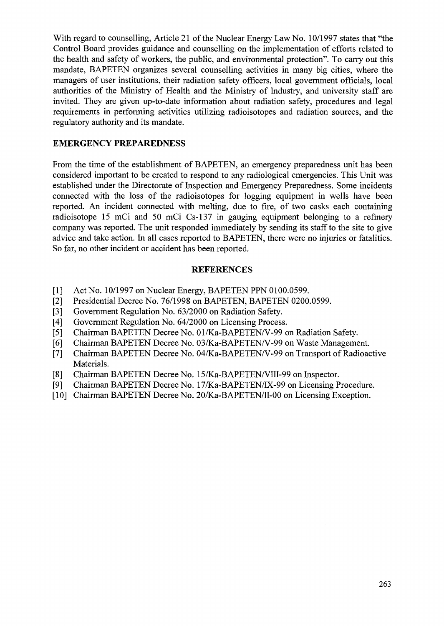With regard to counselling, Article 21 of the Nuclear Energy Law No. 10/1997 states that "the Control Board provides guidance and counselling on the implementation of efforts related to the health and safety of workers, the public, and environmental protection". To carry out this mandate, BAPETEN organizes several counselling activities in many big cities, where the managers of user institutions, their radiation safety officers, local government officials, local authorities of the Ministry of Health and the Ministry of Industry, and university staff are invited. They are given up-to-date information about radiation safety, procedures and legal requirements in performing activities utilizing radioisotopes and radiation sources, and the regulatory authority and its mandate.

#### **EMERGENCY PREPAREDNESS**

From the time of the establishment of BAPETEN, an emergency preparedness unit has been considered important to be created to respond to any radiological emergencies. This Unit was established under the Directorate of Inspection and Emergency Preparedness. Some incidents connected with the loss of the radioisotopes for logging equipment in wells have been reported. An incident connected with melting, due to fire, of two casks each containing radioisotope 15 mCi and 50 mCi Cs-137 in gauging equipment belonging to a refinery company was reported. The unit responded immediately by sending its staff to the site to give advice and take action. In all cases reported to BAPETEN, there were no injuries or fatalities. So far, no other incident or accident has been reported.

#### **REFERENCES**

- 
- [1] Act No. 10/1997 on Nuclear Energy, BAPETEN PPN 0100.0599.<br>[2] Presidential Decree No. 76/1998 on BAPETEN, BAPETEN 0200. Presidential Decree No. 76/1998 on BAPETEN, BAPETEN 0200.0599.
- [3] Government Regulation No. 63/2000 on Radiation Safety.
- [4] Government Regulation No. 64/2000 on Licensing Process.
- [5] Chairman BAPETEN Decree No. 01/Ka-BAPETEN/V-99 on Radiation Safety.
- [6] Chairman BAPETEN Decree No. 03/Ka-BAPETEN/V-99 on Waste Management.
- [7] Chairman BAPETEN Decree No. 04/Ka-BAPETEN/V-99 on Transport of Radioactive Materials.
- [8] Chairman BAPETEN Decree No. 15/Ka-BAPETEN/VIII-99 on Inspector.
- [9] Chairman BAPETEN Decree No. 17/Ka-BAPETEN/TX-99 on Licensing Procedure.
- [10] Chairman BAPETEN Decree No. 20/Ka-BAPETEN/II-00 on Licensing Exception.